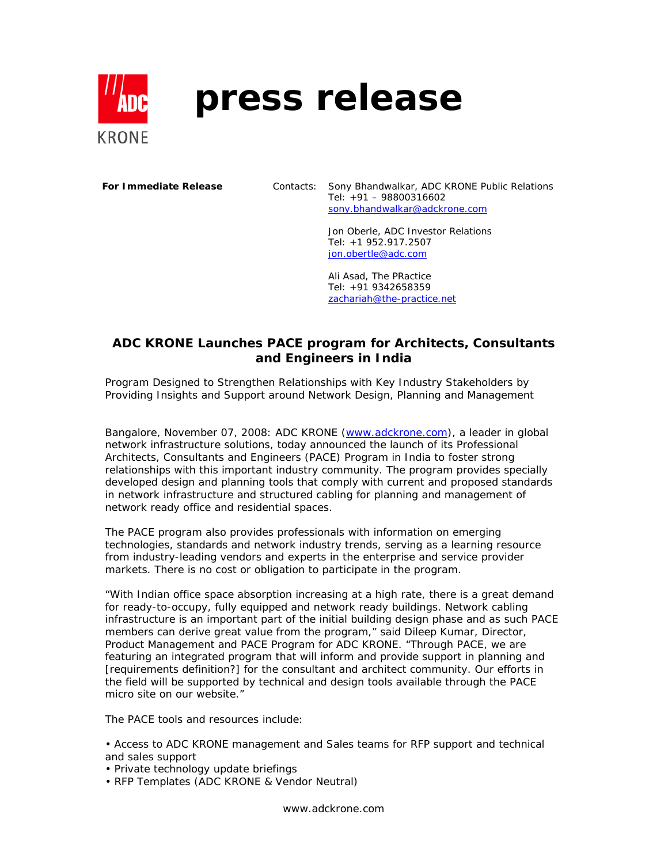

## **press release**

**For Immediate Release** Contacts: Sony Bhandwalkar, ADC KRONE Public Relations Tel: +91 – 98800316602 sony.bhandwalkar@adckrone.com

> Jon Oberle, ADC Investor Relations Tel: +1 952.917.2507 jon.obertle@adc.com

Ali Asad, The PRactice Tel: +91 9342658359 zachariah@the-practice.net

## **ADC KRONE Launches PACE program for Architects, Consultants and Engineers in India**

*Program Designed to Strengthen Relationships with Key Industry Stakeholders by Providing Insights and Support around Network Design, Planning and Management*

Bangalore, November 07, 2008: ADC KRONE (www.adckrone.com), a leader in global network infrastructure solutions, today announced the launch of its Professional Architects, Consultants and Engineers (PACE) Program in India to foster strong relationships with this important industry community. The program provides specially developed design and planning tools that comply with current and proposed standards in network infrastructure and structured cabling for planning and management of network ready office and residential spaces.

The PACE program also provides professionals with information on emerging technologies, standards and network industry trends, serving as a learning resource from industry-leading vendors and experts in the enterprise and service provider markets. There is no cost or obligation to participate in the program.

"With Indian office space absorption increasing at a high rate, there is a great demand for ready-to-occupy, fully equipped and network ready buildings. Network cabling infrastructure is an important part of the initial building design phase and as such PACE members can derive great value from the program," said Dileep Kumar, Director, Product Management and PACE Program for ADC KRONE. "Through PACE, we are featuring an integrated program that will inform and provide support in planning and [requirements definition?] for the consultant and architect community. Our efforts in the field will be supported by technical and design tools available through the PACE micro site on our website."

The PACE tools and resources include:

• Access to ADC KRONE management and Sales teams for RFP support and technical and sales support

- Private technology update briefings
- RFP Templates (ADC KRONE & Vendor Neutral)